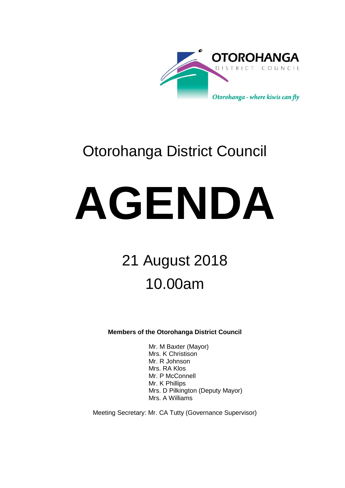

## Otorohanga District Council

# **AGENDA**

## 21 August 2018 10.00am

**Members of the Otorohanga District Council**

Mr. M Baxter (Mayor) Mrs. K Christison Mr. R Johnson Mrs. RA Klos Mr. P McConnell Mr. K Phillips Mrs. D Pilkington (Deputy Mayor) Mrs. A Williams

Meeting Secretary: Mr. CA Tutty (Governance Supervisor)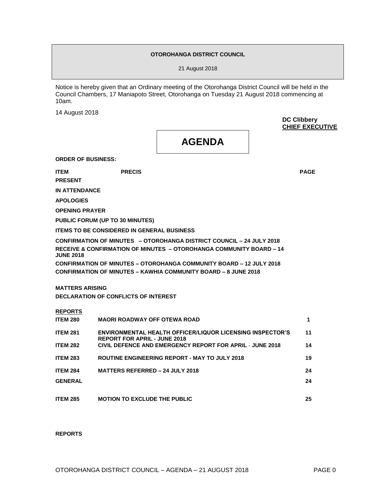#### **OTOROHANGA DISTRICT COUNCIL**

21 August 2018

Notice is hereby given that an Ordinary meeting of the Otorohanga District Council will be held in the Council Chambers, 17 Maniapoto Street, Otorohanga on Tuesday 21 August 2018 commencing at 10am.

14 August 2018

**DC Clibbery CHIEF EXECUTIVE**

**AGENDA**

**ORDER OF BUSINESS:**

**PRESENT**

**ITEM PRECIS PAGE**

**IN ATTENDANCE**

**APOLOGIES**

**OPENING PRAYER**

**PUBLIC FORUM (UP TO 30 MINUTES)** 

**ITEMS TO BE CONSIDERED IN GENERAL BUSINESS**

**CONFIRMATION OF MINUTES – OTOROHANGA DISTRICT COUNCIL – 24 JULY 2018 RECEIVE & CONFIRMATION OF MINUTES – OTOROHANGA COMMUNITY BOARD – 14 JUNE 2018 CONFIRMATION OF MINUTES – OTOROHANGA COMMUNITY BOARD – 12 JULY 2018 CONFIRMATION OF MINUTES – KAWHIA COMMUNITY BOARD – 8 JUNE 2018**

**MATTERS ARISING DECLARATION OF CONFLICTS OF INTEREST** 

#### **REPORTS**

| <b>ITEM 280</b> | <b>MAORI ROADWAY OFF OTEWA ROAD</b>                                                                     |    |
|-----------------|---------------------------------------------------------------------------------------------------------|----|
| <b>ITEM 281</b> | <b>ENVIRONMENTAL HEALTH OFFICER/LIQUOR LICENSING INSPECTOR'S</b><br><b>REPORT FOR APRIL - JUNE 2018</b> | 11 |
| <b>ITEM 282</b> | CIVIL DEFENCE AND EMERGENCY REPORT FOR APRIL - JUNE 2018                                                | 14 |
| <b>ITEM 283</b> | <b>ROUTINE ENGINEERING REPORT - MAY TO JULY 2018</b>                                                    | 19 |
| <b>ITEM 284</b> | <b>MATTERS REFERRED - 24 JULY 2018</b>                                                                  | 24 |
| <b>GENERAL</b>  |                                                                                                         | 24 |
|                 |                                                                                                         |    |
| <b>ITEM 285</b> | <b>MOTION TO EXCLUDE THE PUBLIC</b>                                                                     | 25 |

#### **REPORTS**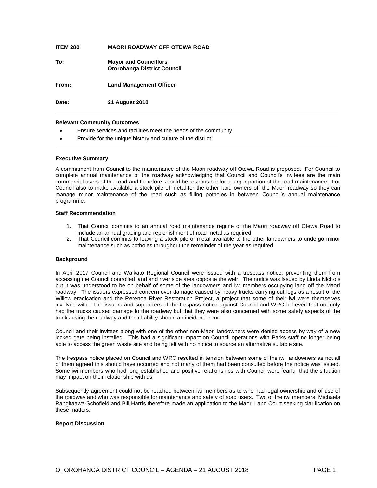| <b>ITEM 280</b> | <b>MAORI ROADWAY OFF OTEWA ROAD</b>                                |
|-----------------|--------------------------------------------------------------------|
| To:             | <b>Mayor and Councillors</b><br><b>Otorohanga District Council</b> |
| From:           | <b>Land Management Officer</b>                                     |
| Date:           | <b>21 August 2018</b>                                              |

#### **Relevant Community Outcomes**

- Ensure services and facilities meet the needs of the community
- Provide for the unique history and culture of the district

#### **Executive Summary**

A commitment from Council to the maintenance of the Maori roadway off Otewa Road is proposed. For Council to complete annual maintenance of the roadway acknowledging that Council and Council's invitees are the main commercial users of the road and therefore should be responsible for a larger portion of the road maintenance. For Council also to make available a stock pile of metal for the other land owners off the Maori roadway so they can manage minor maintenance of the road such as filling potholes in between Council's annual maintenance programme.

#### **Staff Recommendation**

- 1. That Council commits to an annual road maintenance regime of the Maori roadway off Otewa Road to include an annual grading and replenishment of road metal as required.
- 2. That Council commits to leaving a stock pile of metal available to the other landowners to undergo minor maintenance such as potholes throughout the remainder of the year as required.

#### **Background**

In April 2017 Council and Waikato Regional Council were issued with a trespass notice, preventing them from accessing the Council controlled land and river side area opposite the weir. The notice was issued by Linda Nichols but it was understood to be on behalf of some of the landowners and iwi members occupying land off the Maori roadway. The issuers expressed concern over damage caused by heavy trucks carrying out logs as a result of the Willow eradication and the Rerenoa River Restoration Project, a project that some of their iwi were themselves involved with. The issuers and supporters of the trespass notice against Council and WRC believed that not only had the trucks caused damage to the roadway but that they were also concerned with some safety aspects of the trucks using the roadway and their liability should an incident occur.

Council and their invitees along with one of the other non-Maori landowners were denied access by way of a new locked gate being installed. This had a significant impact on Council operations with Parks staff no longer being able to access the green waste site and being left with no notice to source an alternative suitable site.

The trespass notice placed on Council and WRC resulted in tension between some of the iwi landowners as not all of them agreed this should have occurred and not many of them had been consulted before the notice was issued. Some iwi members who had long established and positive relationships with Council were fearful that the situation may impact on their relationship with us.

Subsequently agreement could not be reached between iwi members as to who had legal ownership and of use of the roadway and who was responsible for maintenance and safety of road users. Two of the iwi members, Michaela Rangitaawa-Schofield and Bill Harris therefore made an application to the Maori Land Court seeking clarification on these matters.

#### **Report Discussion**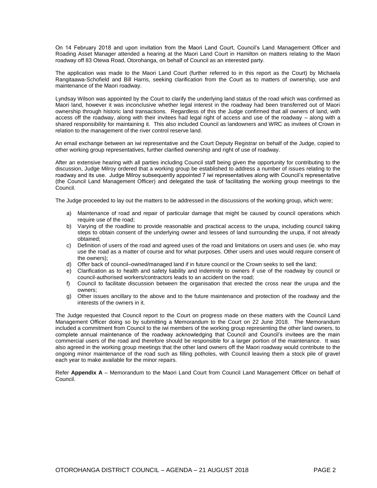On 14 February 2018 and upon invitation from the Maori Land Court, Council's Land Management Officer and Roading Asset Manager attended a hearing at the Maori Land Court in Hamilton on matters relating to the Maori roadway off 83 Otewa Road, Otorohanga, on behalf of Council as an interested party.

The application was made to the Maori Land Court (further referred to in this report as the Court) by Michaela Rangitaawa-Schofield and Bill Harris, seeking clarification from the Court as to matters of ownership, use and maintenance of the Maori roadway.

Lyndsay Wilson was appointed by the Court to clarify the underlying land status of the road which was confirmed as Maori land, however it was inconclusive whether legal interest in the roadway had been transferred out of Maori ownership through historic land transactions. Regardless of this the Judge confirmed that all owners of land, with access off the roadway, along with their invitees had legal right of access and use of the roadway – along with a shared responsibility for maintaining it. This also included Council as landowners and WRC as invitees of Crown in relation to the management of the river control reserve land.

An email exchange between an iwi representative and the Court Deputy Registrar on behalf of the Judge, copied to other working group representatives, further clarified ownership and right of use of roadway.

After an extensive hearing with all parties including Council staff being given the opportunity for contributing to the discussion, Judge Milroy ordered that a working group be established to address a number of issues relating to the roadway and its use. Judge Milroy subsequently appointed 7 iwi representatives along with Council's representative (the Council Land Management Officer) and delegated the task of facilitating the working group meetings to the Council.

The Judge proceeded to lay out the matters to be addressed in the discussions of the working group, which were;

- a) Maintenance of road and repair of particular damage that might be caused by council operations which require use of the road;
- b) Varying of the roadline to provide reasonable and practical access to the urupa, including council taking steps to obtain consent of the underlying owner and lessees of land surrounding the urupa, if not already obtained;
- c) Definition of users of the road and agreed uses of the road and limitations on users and uses (ie. who may use the road as a matter of course and for what purposes. Other users and uses would require consent of the owners);
- d) Offer back of council–owned/managed land if in future council or the Crown seeks to sell the land;
- e) Clarification as to health and safety liability and indemnity to owners if use of the roadway by council or council-authorised workers/contractors leads to an accident on the road;
- f) Council to facilitate discussion between the organisation that erected the cross near the urupa and the owners;
- g) Other issues ancillary to the above and to the future maintenance and protection of the roadway and the interests of the owners in it.

The Judge requested that Council report to the Court on progress made on these matters with the Council Land Management Officer doing so by submitting a Memorandum to the Court on 22 June 2018. The Memorandum included a commitment from Council to the iwi members of the working group representing the other land owners, to complete annual maintenance of the roadway acknowledging that Council and Council's invitees are the main commercial users of the road and therefore should be responsible for a larger portion of the maintenance. It was also agreed in the working group meetings that the other land owners off the Maori roadway would contribute to the ongoing minor maintenance of the road such as filling potholes, with Council leaving them a stock pile of gravel each year to make available for the minor repairs.

Refer **Appendix A** – Memorandum to the Maori Land Court from Council Land Management Officer on behalf of Council.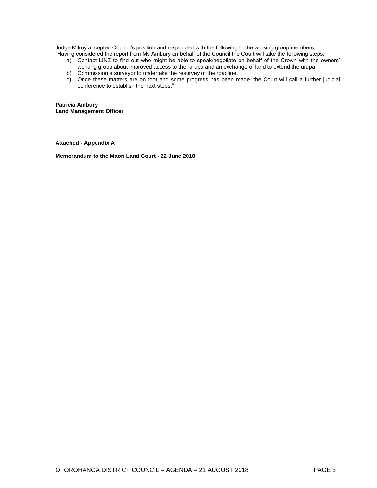Judge Milroy accepted Council's position and responded with the following to the working group members; "Having considered the report from Ms Ambury on behalf of the Council the Court will take the following steps:

- a) Contact LINZ to find out who might be able to speak/negotiate on behalf of the Crown with the owners' working group about improved access to the urupa and an exchange of land to extend the urupa;
- b) Commission a surveyor to undertake the resurvey of the roadline.
- c) Once these matters are on foot and some progress has been made, the Court will call a further judicial conference to establish the next steps."

**Patricia Ambury Land Management Officer**

**Attached - Appendix A**

**Memorandum to the Maori Land Court - 22 June 2018**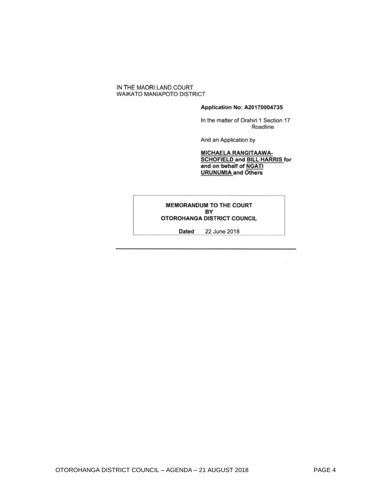#### IN THE MAORI LAND COURT WAIKATO MANIAPOTO DISTRICT

#### Application No: A20170004735

In the matter of Orahiri 1 Section 17 Roadline

And an Application by

## MICHAELA RANGITAAWA-<br>SCHOFIELD and BILL HARRIS for<br>and on behalf of NGATI<br>URUNUMIA and Others

#### MEMORANDUM TO THE COURT BY OTOROHANGA DISTRICT COUNCIL

Dated 22 June 2018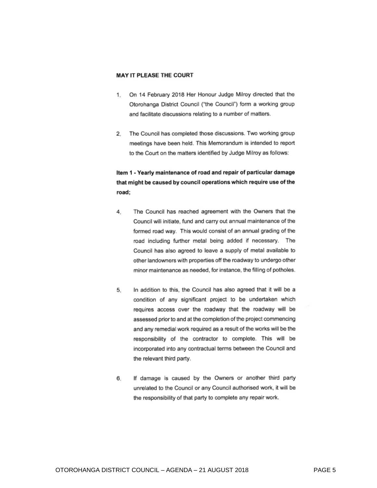#### **MAY IT PLEASE THE COURT**

- On 14 February 2018 Her Honour Judge Milroy directed that the  $1.$ Otorohanga District Council ("the Council") form a working group and facilitate discussions relating to a number of matters.
- 2. The Council has completed those discussions. Two working group meetings have been held. This Memorandum is intended to report to the Court on the matters identified by Judge Milroy as follows:

#### Item 1 - Yearly maintenance of road and repair of particular damage that might be caused by council operations which require use of the road;

- The Council has reached agreement with the Owners that the 4. Council will initiate, fund and carry out annual maintenance of the formed road way. This would consist of an annual grading of the road including further metal being added if necessary. The Council has also agreed to leave a supply of metal available to other landowners with properties off the roadway to undergo other minor maintenance as needed, for instance, the filling of potholes.
- In addition to this, the Council has also agreed that it will be a 5. condition of any significant project to be undertaken which requires access over the roadway that the roadway will be assessed prior to and at the completion of the project commencing and any remedial work required as a result of the works will be the responsibility of the contractor to complete. This will be incorporated into any contractual terms between the Council and the relevant third party.
- If damage is caused by the Owners or another third party 6. unrelated to the Council or any Council authorised work, it will be the responsibility of that party to complete any repair work.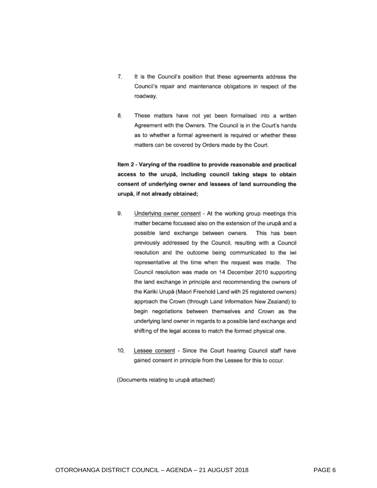- 7. It is the Council's position that these agreements address the Council's repair and maintenance obligations in respect of the roadway.
- 8. These matters have not yet been formalised into a written Agreement with the Owners. The Council is in the Court's hands as to whether a formal agreement is required or whether these matters can be covered by Orders made by the Court.

Item 2 - Varying of the roadline to provide reasonable and practical access to the urupā, including council taking steps to obtain consent of underlying owner and lessees of land surrounding the urupā, if not already obtained;

- 9. Underlying owner consent - At the working group meetings this matter became focussed also on the extension of the urupā and a possible land exchange between owners. This has been previously addressed by the Council, resulting with a Council resolution and the outcome being communicated to the iwi representative at the time when the request was made. The Council resolution was made on 14 December 2010 supporting the land exchange in principle and recommending the owners of the Kariki Urupā (Maori Freehold Land with 25 registered owners) approach the Crown (through Land Information New Zealand) to begin negotiations between themselves and Crown as the underlying land owner in regards to a possible land exchange and shifting of the legal access to match the formed physical one.
- 10. Lessee consent - Since the Court hearing Council staff have gained consent in principle from the Lessee for this to occur.

(Documents relating to urupā attached)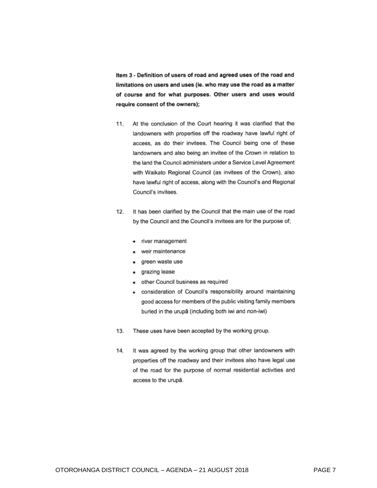Item 3 - Definition of users of road and agreed uses of the road and limitations on users and uses (ie. who may use the road as a matter of course and for what purposes. Other users and uses would require consent of the owners);

- At the conclusion of the Court hearing it was clarified that the  $11.$ landowners with properties off the roadway have lawful right of access, as do their invitees. The Council being one of these landowners and also being an invitee of the Crown in relation to the land the Council administers under a Service Level Agreement with Waikato Regional Council (as invitees of the Crown), also have lawful right of access, along with the Council's and Regional Council's invitees.
- $12.$ It has been clarified by the Council that the main use of the road by the Council and the Council's invitees are for the purpose of;
	- river management
	- weir maintenance
	- green waste use
	- grazing lease
	- other Council business as required  $\bullet$
	- consideration of Council's responsibility around maintaining good access for members of the public visiting family members buried in the urupā (including both iwi and non-iwi)
- These uses have been accepted by the working group. 13.
- It was agreed by the working group that other landowners with  $14.$ properties off the roadway and their invitees also have legal use of the road for the purpose of normal residential activities and access to the urupā.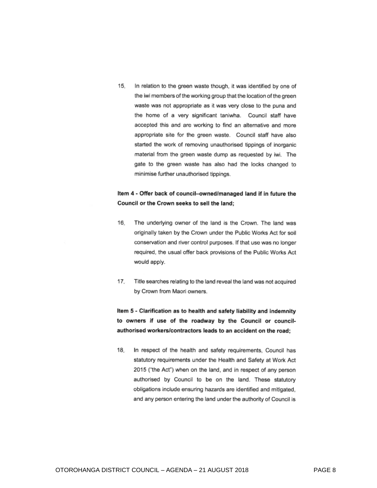$15.$ In relation to the green waste though, it was identified by one of the iwi members of the working group that the location of the green waste was not appropriate as it was very close to the puna and the home of a very significant taniwha. Council staff have accepted this and are working to find an alternative and more appropriate site for the green waste. Council staff have also started the work of removing unauthorised tippings of inorganic material from the green waste dump as requested by iwi. The gate to the green waste has also had the locks changed to minimise further unauthorised tippings.

#### Item 4 - Offer back of council-owned/managed land if in future the Council or the Crown seeks to sell the land;

- $16.$ The underlying owner of the land is the Crown. The land was originally taken by the Crown under the Public Works Act for soil conservation and river control purposes. If that use was no longer required, the usual offer back provisions of the Public Works Act would apply.
- $17.$ Title searches relating to the land reveal the land was not acquired by Crown from Maori owners.

Item 5 - Clarification as to health and safety liability and indemnity to owners if use of the roadway by the Council or councilauthorised workers/contractors leads to an accident on the road:

 $18<sub>1</sub>$ In respect of the health and safety requirements, Council has statutory requirements under the Health and Safety at Work Act 2015 ("the Act") when on the land, and in respect of any person authorised by Council to be on the land. These statutory obligations include ensuring hazards are identified and mitigated, and any person entering the land under the authority of Council is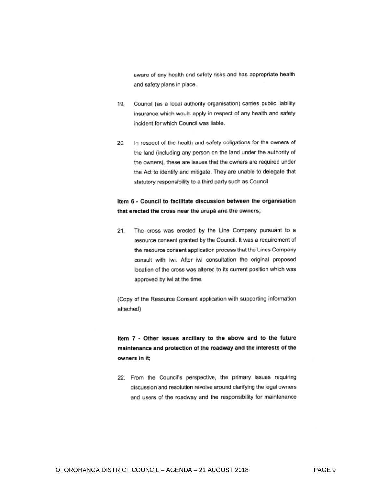aware of any health and safety risks and has appropriate health and safety plans in place.

- Council (as a local authority organisation) carries public liability 19. insurance which would apply in respect of any health and safety incident for which Council was liable.
- In respect of the health and safety obligations for the owners of 20. the land (including any person on the land under the authority of the owners), these are issues that the owners are required under the Act to identify and mitigate. They are unable to delegate that statutory responsibility to a third party such as Council.

#### Item 6 - Council to facilitate discussion between the organisation that erected the cross near the urupa and the owners;

The cross was erected by the Line Company pursuant to a  $21.$ resource consent granted by the Council. It was a requirement of the resource consent application process that the Lines Company consult with iwi. After iwi consultation the original proposed location of the cross was altered to its current position which was approved by iwi at the time.

(Copy of the Resource Consent application with supporting information attached)

Item 7 - Other issues ancillary to the above and to the future maintenance and protection of the roadway and the interests of the owners in it:

22. From the Council's perspective, the primary issues requiring discussion and resolution revolve around clarifying the legal owners and users of the roadway and the responsibility for maintenance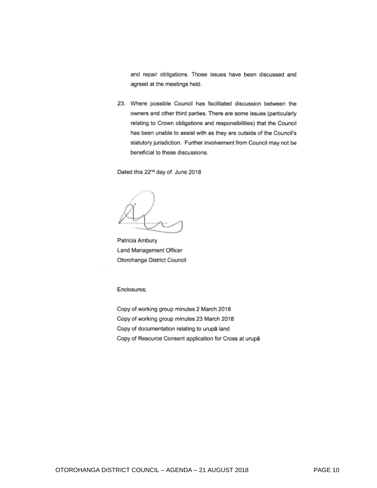and repair obligations. Those issues have been discussed and agreed at the meetings held.

23. Where possible Council has facilitated discussion between the owners and other third parties. There are some issues (particularly relating to Crown obligations and responsibilities) that the Council has been unable to assist with as they are outside of the Council's statutory jurisdiction. Further involvement from Council may not be beneficial to these discussions.

Dated this 22<sup>nd</sup> day of June 2018

Patricia Ambury Land Management Officer Otorohanga District Council

Enclosures;

Copy of working group minutes 2 March 2018 Copy of working group minutes 23 March 2018 Copy of documentation relating to urupā land Copy of Resource Consent application for Cross at urupā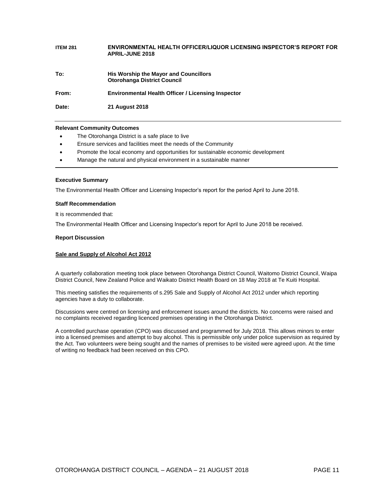| <b>ITEM 281</b> | ENVIRONMENTAL HEALTH OFFICER/LIQUOR LICENSING INSPECTOR'S REPORT FOR<br><b>APRIL-JUNE 2018</b> |
|-----------------|------------------------------------------------------------------------------------------------|
| To:             | His Worship the Mayor and Councillors<br><b>Otorohanga District Council</b>                    |
| From:           | Environmental Health Officer / Licensing Inspector                                             |
| Date:           | <b>21 August 2018</b>                                                                          |

#### **Relevant Community Outcomes**

- The Otorohanga District is a safe place to live
- Ensure services and facilities meet the needs of the Community
- Promote the local economy and opportunities for sustainable economic development
- Manage the natural and physical environment in a sustainable manner

#### **Executive Summary**

The Environmental Health Officer and Licensing Inspector's report for the period April to June 2018.

#### **Staff Recommendation**

It is recommended that:

The Environmental Health Officer and Licensing Inspector's report for April to June 2018 be received.

#### **Report Discussion**

#### **Sale and Supply of Alcohol Act 2012**

A quarterly collaboration meeting took place between Otorohanga District Council, Waitomo District Council, Waipa District Council, New Zealand Police and Waikato District Health Board on 18 May 2018 at Te Kuiti Hospital.

This meeting satisfies the requirements of s.295 Sale and Supply of Alcohol Act 2012 under which reporting agencies have a duty to collaborate.

Discussions were centred on licensing and enforcement issues around the districts. No concerns were raised and no complaints received regarding licenced premises operating in the Otorohanga District.

A controlled purchase operation (CPO) was discussed and programmed for July 2018. This allows minors to enter into a licensed premises and attempt to buy alcohol. This is permissible only under police supervision as required by the Act. Two volunteers were being sought and the names of premises to be visited were agreed upon. At the time of writing no feedback had been received on this CPO.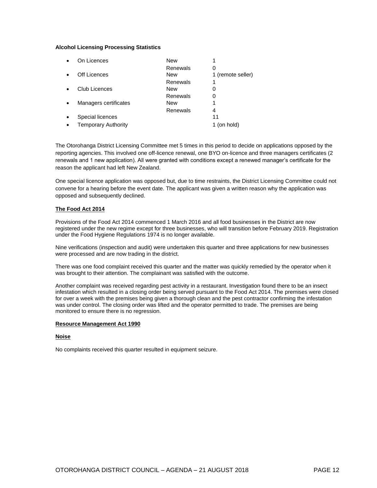#### **Alcohol Licensing Processing Statistics**

| On Licences                | <b>New</b> |                   |
|----------------------------|------------|-------------------|
|                            | Renewals   | O                 |
| Off Licences               | <b>New</b> | 1 (remote seller) |
|                            | Renewals   |                   |
| Club Licences              | <b>New</b> | O                 |
|                            | Renewals   | 0                 |
| Managers certificates      | <b>New</b> |                   |
|                            | Renewals   | 4                 |
| Special licences           |            | 11                |
| <b>Temporary Authority</b> |            | (on hold)         |

The Otorohanga District Licensing Committee met 5 times in this period to decide on applications opposed by the reporting agencies. This involved one off-licence renewal, one BYO on-licence and three managers certificates (2 renewals and 1 new application). All were granted with conditions except a renewed manager's certificate for the reason the applicant had left New Zealand.

One special licence application was opposed but, due to time restraints, the District Licensing Committee could not convene for a hearing before the event date. The applicant was given a written reason why the application was opposed and subsequently declined.

#### **The Food Act 2014**

Provisions of the Food Act 2014 commenced 1 March 2016 and all food businesses in the District are now registered under the new regime except for three businesses, who will transition before February 2019. Registration under the Food Hygiene Regulations 1974 is no longer available.

Nine verifications (inspection and audit) were undertaken this quarter and three applications for new businesses were processed and are now trading in the district.

There was one food complaint received this quarter and the matter was quickly remedied by the operator when it was brought to their attention. The complainant was satisfied with the outcome.

Another complaint was received regarding pest activity in a restaurant. Investigation found there to be an insect infestation which resulted in a closing order being served pursuant to the Food Act 2014. The premises were closed for over a week with the premises being given a thorough clean and the pest contractor confirming the infestation was under control. The closing order was lifted and the operator permitted to trade. The premises are being monitored to ensure there is no regression.

#### **Resource Management Act 1990**

#### **Noise**

No complaints received this quarter resulted in equipment seizure.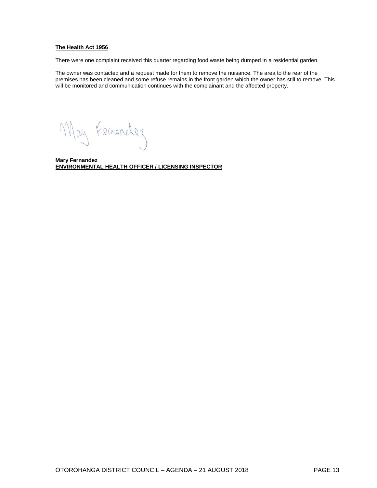#### **The Health Act 1956**

There were one complaint received this quarter regarding food waste being dumped in a residential garden.

The owner was contacted and a request made for them to remove the nuisance. The area to the rear of the premises has been cleaned and some refuse remains in the front garden which the owner has still to remove. This will be monitored and communication continues with the complainant and the affected property.

May Femancles

**Mary Fernandez ENVIRONMENTAL HEALTH OFFICER / LICENSING INSPECTOR**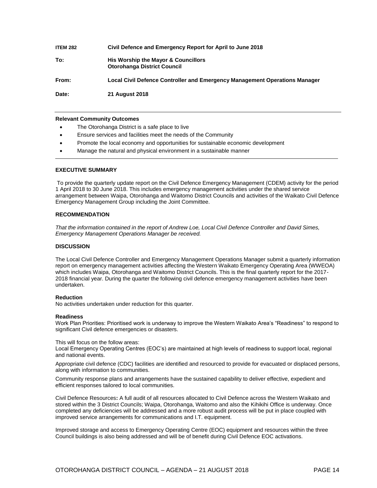| <b>ITEM 282</b> | Civil Defence and Emergency Report for April to June 2018                  |
|-----------------|----------------------------------------------------------------------------|
| To:             | His Worship the Mayor & Councillors<br><b>Otorohanga District Council</b>  |
| From:           | Local Civil Defence Controller and Emergency Management Operations Manager |
| Date:           | <b>21 August 2018</b>                                                      |

#### **Relevant Community Outcomes**

- The Otorohanga District is a safe place to live
- Ensure services and facilities meet the needs of the Community
- Promote the local economy and opportunities for sustainable economic development
- Manage the natural and physical environment in a sustainable manner

#### **EXECUTIVE SUMMARY**

To provide the quarterly update report on the Civil Defence Emergency Management (CDEM) activity for the period 1 April 2018 to 30 June 2018. This includes emergency management activities under the shared service arrangement between Waipa, Otorohanga and Waitomo District Councils and activities of the Waikato Civil Defence Emergency Management Group including the Joint Committee.

#### **RECOMMENDATION**

*That the information contained in the report of Andrew Loe, Local Civil Defence Controller and David Simes, Emergency Management Operations Manager be received.*

#### **DISCUSSION**

The Local Civil Defence Controller and Emergency Management Operations Manager submit a quarterly information report on emergency management activities affecting the Western Waikato Emergency Operating Area (WWEOA) which includes Waipa, Otorohanga and Waitomo District Councils. This is the final quarterly report for the 2017- 2018 financial year. During the quarter the following civil defence emergency management activities have been undertaken.

#### **Reduction**

No activities undertaken under reduction for this quarter.

#### **Readiness**

Work Plan Priorities: Prioritised work is underway to improve the Western Waikato Area's "Readiness" to respond to significant Civil defence emergencies or disasters.

This will focus on the follow areas:

Local Emergency Operating Centres (EOC's) are maintained at high levels of readiness to support local, regional and national events.

Appropriate civil defence (CDC) facilities are identified and resourced to provide for evacuated or displaced persons, along with information to communities.

Community response plans and arrangements have the sustained capability to deliver effective, expedient and efficient responses tailored to local communities.

Civil Defence Resources**:** A full audit of all resources allocated to Civil Defence across the Western Waikato and stored within the 3 District Councils; Waipa, Otorohanga, Waitomo and also the Kihikihi Office is underway. Once completed any deficiencies will be addressed and a more robust audit process will be put in place coupled with improved service arrangements for communications and I.T. equipment.

Improved storage and access to Emergency Operating Centre (EOC) equipment and resources within the three Council buildings is also being addressed and will be of benefit during Civil Defence EOC activations.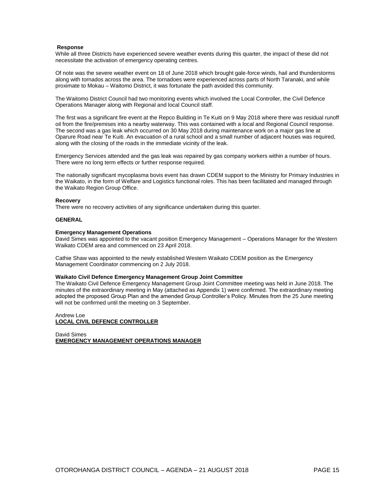#### **Response**

While all three Districts have experienced severe weather events during this quarter, the impact of these did not necessitate the activation of emergency operating centres.

Of note was the severe weather event on 18 of June 2018 which brought gale-force winds, hail and thunderstorms along with tornados across the area. The tornadoes were experienced across parts of North Taranaki, and while proximate to Mokau – Waitomo District, it was fortunate the path avoided this community.

The Waitomo District Council had two monitoring events which involved the Local Controller, the Civil Defence Operations Manager along with Regional and local Council staff.

The first was a significant fire event at the Repco Building in Te Kuiti on 9 May 2018 where there was residual runoff oil from the fire/premises into a nearby waterway. This was contained with a local and Regional Council response. The second was a gas leak which occurred on 30 May 2018 during maintenance work on a major gas line at Oparure Road near Te Kuiti. An evacuation of a rural school and a small number of adjacent houses was required, along with the closing of the roads in the immediate vicinity of the leak.

Emergency Services attended and the gas leak was repaired by gas company workers within a number of hours. There were no long term effects or further response required.

The nationally significant mycoplasma bovis event has drawn CDEM support to the Ministry for Primary Industries in the Waikato, in the form of Welfare and Logistics functional roles. This has been facilitated and managed through the Waikato Region Group Office.

#### **Recovery**

There were no recovery activities of any significance undertaken during this quarter.

#### **GENERAL**

#### **Emergency Management Operations**

David Simes was appointed to the vacant position Emergency Management – Operations Manager for the Western Waikato CDEM area and commenced on 23 April 2018.

Cathie Shaw was appointed to the newly established Western Waikato CDEM position as the Emergency Management Coordinator commencing on 2 July 2018.

#### **Waikato Civil Defence Emergency Management Group Joint Committee**

The Waikato Civil Defence Emergency Management Group Joint Committee meeting was held in June 2018. The minutes of the extraordinary meeting in May (attached as Appendix 1) were confirmed. The extraordinary meeting adopted the proposed Group Plan and the amended Group Controller's Policy. Minutes from the 25 June meeting will not be confirmed until the meeting on 3 September.

#### Andrew Loe **LOCAL CIVIL DEFENCE CONTROLLER**

David Simes **EMERGENCY MANAGEMENT OPERATIONS MANAGER**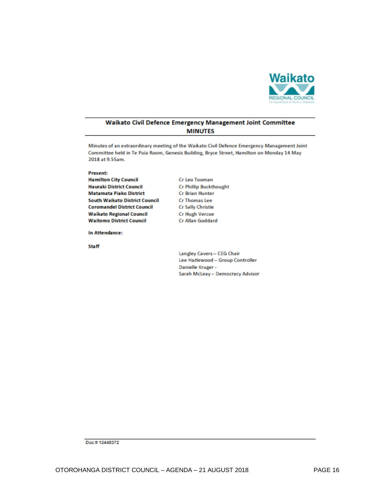

#### Waikato Civil Defence Emergency Management Joint Committee **MINUTES**

Minutes of an extraordinary meeting of the Waikato Civil Defence Emergency Management Joint Committee held in Te Puia Room, Genesis Building, Bryce Street, Hamilton on Monday 14 May 2018 at 9.55am.

Cr Leo Tooman

Present:

**Hamilton City Council Hauraki District Council Matamata Piako District South Waikato District Council Coromandel District Council Waikato Regional Council Waitomo District Council** 

In Attendance:

**Staff** 

**Cr Phillip Buckthought Cr Brian Hunter** Cr Thomas Lee **Cr Sally Christie Cr Hugh Vercoe** Cr Allan Goddard

Langley Cavers - CEG Chair Lee Hazlewood - Group Controller Danielle Kruger -Sarah McLeay - Democracy Advisor

Doc #12445372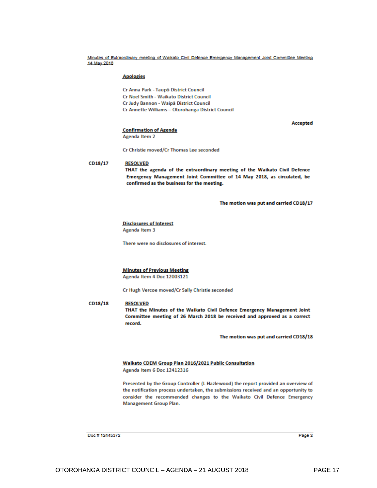Minutes of Extraordinary meeting of Waikato Civil Defence Emergency Management Joint Committee Meeting 14 May 2018

#### **Apologies**

Cr Anna Park - Taupō District Council

Cr Noel Smith - Waikato District Council

Cr Judy Bannon - Waipā District Council

Cr Annette Williams - Otorohanga District Council

Accepted

#### **Confirmation of Agenda**

Agenda Item 2

Cr Christie moved/Cr Thomas Lee seconded

#### CD18/17 **RESOLVED**

THAT the agenda of the extraordinary meeting of the Waikato Civil Defence Emergency Management Joint Committee of 14 May 2018, as circulated, be confirmed as the business for the meeting.

The motion was put and carried CD18/17

**Disclosures of Interest** Agenda Item 3

There were no disclosures of interest.

#### **Minutes of Previous Meeting**

Agenda Item 4 Doc 12003121

Cr Hugh Vercoe moved/Cr Sally Christie seconded

CD18/18 **RESOLVED** THAT the Minutes of the Waikato Civil Defence Emergency Management Joint Committee meeting of 26 March 2018 be received and approved as a correct record.

The motion was put and carried CD18/18

#### Waikato CDEM Group Plan 2016/2021 Public Consultation

Agenda Item 6 Doc 12412316

Presented by the Group Controller (L Hazlewood) the report provided an overview of the notification process undertaken, the submissions received and an opportunity to consider the recommended changes to the Waikato Civil Defence Emergency Management Group Plan.

Doc #12445372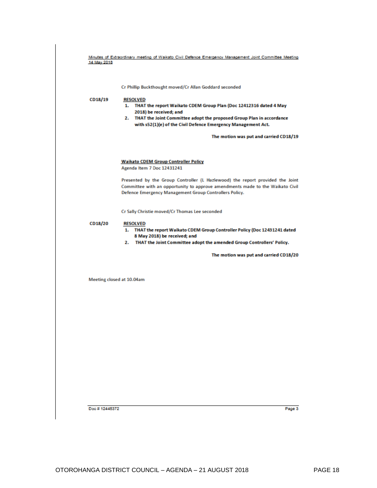|         | The motion was put and carried CD18/19                                                                                                                                                                                   |
|---------|--------------------------------------------------------------------------------------------------------------------------------------------------------------------------------------------------------------------------|
|         | <b>Waikato CDEM Group Controller Policy</b><br>Agenda Item 7 Doc 12431241                                                                                                                                                |
|         | Presented by the Group Controller (L Hazlewood) the report provided the Joint<br>Committee with an opportunity to approve amendments made to the Waikato Civil<br>Defence Emergency Management Group Controllers Policy. |
|         | Cr Sally Christie moved/Cr Thomas Lee seconded                                                                                                                                                                           |
| CD18/20 | <b>RESOLVED</b><br>1. THAT the report Waikato CDEM Group Controller Policy (Doc 12431241 dated<br>8 May 2018) be received; and<br>THAT the Joint Committee adopt the amended Group Controllers' Policy.<br>2.            |
|         | The motion was put and carried CD18/20                                                                                                                                                                                   |

Minutes of Extraordinary meeting of Waikato Civil Defence Emergency Management Joint Committee Meeting<br>14 May 2018

Doc #12445372

Page 3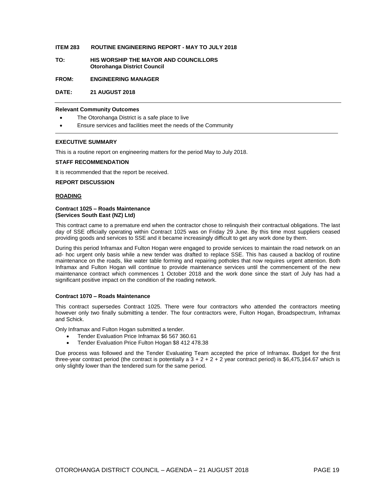#### **ITEM 283 ROUTINE ENGINEERING REPORT - MAY TO JULY 2018**

**TO: HIS WORSHIP THE MAYOR AND COUNCILLORS Otorohanga District Council**

**FROM: ENGINEERING MANAGER**

**DATE: 21 AUGUST 2018**

#### **Relevant Community Outcomes**

- The Otorohanga District is a safe place to live
- Ensure services and facilities meet the needs of the Community

#### **EXECUTIVE SUMMARY**

This is a routine report on engineering matters for the period May to July 2018.

#### **STAFF RECOMMENDATION**

It is recommended that the report be received.

#### **REPORT DISCUSSION**

#### **ROADING**

#### **Contract 1025 – Roads Maintenance (Services South East (NZ) Ltd)**

This contract came to a premature end when the contractor chose to relinquish their contractual obligations. The last day of SSE officially operating within Contract 1025 was on Friday 29 June. By this time most suppliers ceased providing goods and services to SSE and it became increasingly difficult to get any work done by them.

During this period Inframax and Fulton Hogan were engaged to provide services to maintain the road network on an ad- hoc urgent only basis while a new tender was drafted to replace SSE. This has caused a backlog of routine maintenance on the roads, like water table forming and repairing potholes that now requires urgent attention. Both Inframax and Fulton Hogan will continue to provide maintenance services until the commencement of the new maintenance contract which commences 1 October 2018 and the work done since the start of July has had a significant positive impact on the condition of the roading network.

#### **Contract 1070 – Roads Maintenance**

This contract supersedes Contract 1025. There were four contractors who attended the contractors meeting however only two finally submitting a tender. The four contractors were, Fulton Hogan, Broadspectrum, Inframax and Schick.

Only Inframax and Fulton Hogan submitted a tender.

- Tender Evaluation Price Inframax \$6 567 360.61
- Tender Evaluation Price Fulton Hogan \$8 412 478.38

Due process was followed and the Tender Evaluating Team accepted the price of Inframax. Budget for the first three-year contract period (the contract is potentially a  $3 + 2 + 2 + 2$  year contract period) is \$6,475,164.67 which is only slightly lower than the tendered sum for the same period.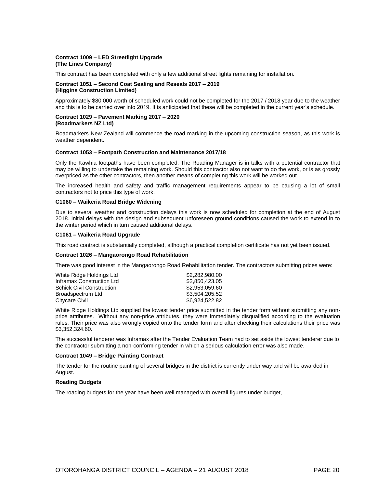#### **Contract 1009 – LED Streetlight Upgrade (The Lines Company)**

This contract has been completed with only a few additional street lights remaining for installation.

#### **Contract 1051 – Second Coat Sealing and Reseals 2017 – 2019 (Higgins Construction Limited)**

Approximately \$80 000 worth of scheduled work could not be completed for the 2017 / 2018 year due to the weather and this is to be carried over into 2019. It is anticipated that these will be completed in the current year's schedule.

#### **Contract 1029 – Pavement Marking 2017 – 2020 (Roadmarkers NZ Ltd)**

Roadmarkers New Zealand will commence the road marking in the upcoming construction season, as this work is weather dependent.

#### **Contract 1053 – Footpath Construction and Maintenance 2017/18**

Only the Kawhia footpaths have been completed. The Roading Manager is in talks with a potential contractor that may be willing to undertake the remaining work. Should this contractor also not want to do the work, or is as grossly overpriced as the other contractors, then another means of completing this work will be worked out.

The increased health and safety and traffic management requirements appear to be causing a lot of small contractors not to price this type of work.

#### **C1060 – Waikeria Road Bridge Widening**

Due to several weather and construction delays this work is now scheduled for completion at the end of August 2018. Initial delays with the design and subsequent unforeseen ground conditions caused the work to extend in to the winter period which in turn caused additional delays.

#### **C1061 – Waikeria Road Upgrade**

This road contract is substantially completed, although a practical completion certificate has not yet been issued.

#### **Contract 1026 – Mangaorongo Road Rehabilitation**

There was good interest in the Mangaorongo Road Rehabilitation tender. The contractors submitting prices were:

| White Ridge Holdings Ltd         | \$2,282,980,00 |
|----------------------------------|----------------|
| Inframax Construction Ltd        | \$2,850,423,05 |
| <b>Schick Civil Construction</b> | \$2,953,059,60 |
| Broadspectrum Ltd                | \$3.504.205.52 |
| Citycare Civil                   | \$6,924,522.82 |

White Ridge Holdings Ltd supplied the lowest tender price submitted in the tender form without submitting any nonprice attributes. Without any non-price attributes, they were immediately disqualified according to the evaluation rules. Their price was also wrongly copied onto the tender form and after checking their calculations their price was \$3,352,324.60.

The successful tenderer was Inframax after the Tender Evaluation Team had to set aside the lowest tenderer due to the contractor submitting a non-conforming tender in which a serious calculation error was also made.

#### **Contract 1049 – Bridge Painting Contract**

The tender for the routine painting of several bridges in the district is currently under way and will be awarded in August.

#### **Roading Budgets**

The roading budgets for the year have been well managed with overall figures under budget,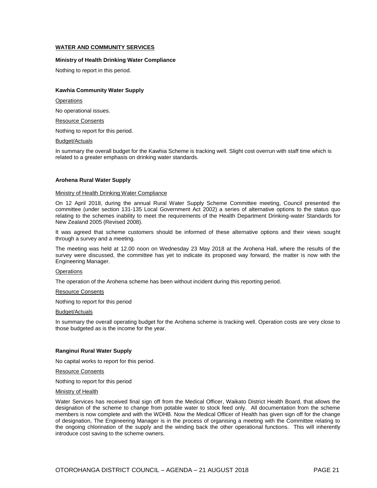#### **WATER AND COMMUNITY SERVICES**

#### **Ministry of Health Drinking Water Compliance**

Nothing to report in this period.

#### **Kawhia Community Water Supply**

**Operations** 

No operational issues.

Resource Consents

Nothing to report for this period.

#### Budget/Actuals

In summary the overall budget for the Kawhia Scheme is tracking well. Slight cost overrun with staff time which is related to a greater emphasis on drinking water standards.

#### **Arohena Rural Water Supply**

#### Ministry of Health Drinking Water Compliance

On 12 April 2018, during the annual Rural Water Supply Scheme Committee meeting, Council presented the committee (under section 131-135 Local Government Act 2002) a series of alternative options to the status quo relating to the schemes inability to meet the requirements of the Health Department Drinking-water Standards for New Zealand 2005 (Revised 2008).

It was agreed that scheme customers should be informed of these alternative options and their views sought through a survey and a meeting.

The meeting was held at 12.00 noon on Wednesday 23 May 2018 at the Arohena Hall, where the results of the survey were discussed, the committee has yet to indicate its proposed way forward, the matter is now with the Engineering Manager.

#### **Operations**

The operation of the Arohena scheme has been without incident during this reporting period.

#### Resource Consents

Nothing to report for this period

#### Budget/Actuals

In summary the overall operating budget for the Arohena scheme is tracking well. Operation costs are very close to those budgeted as is the income for the year.

#### **Ranginui Rural Water Supply**

No capital works to report for this period.

Resource Consents

Nothing to report for this period

#### Ministry of Health

Water Services has received final sign off from the Medical Officer, Waikato District Health Board, that allows the designation of the scheme to change from potable water to stock feed only. All documentation from the scheme members is now complete and with the WDHB. Now the Medical Officer of Health has given sign off for the change of designation, The Engineering Manager is in the process of organising a meeting with the Committee relating to the ongoing chlorination of the supply and the winding back the other operational functions. This will inherently introduce cost saving to the scheme owners.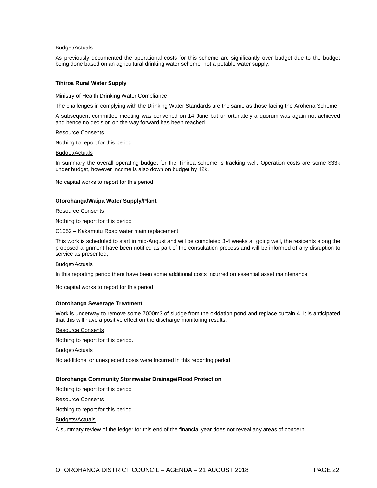#### Budget/Actuals

As previously documented the operational costs for this scheme are significantly over budget due to the budget being done based on an agricultural drinking water scheme, not a potable water supply.

#### **Tihiroa Rural Water Supply**

#### Ministry of Health Drinking Water Compliance

The challenges in complying with the Drinking Water Standards are the same as those facing the Arohena Scheme.

A subsequent committee meeting was convened on 14 June but unfortunately a quorum was again not achieved and hence no decision on the way forward has been reached.

#### Resource Consents

Nothing to report for this period.

#### Budget/Actuals

In summary the overall operating budget for the Tihiroa scheme is tracking well. Operation costs are some \$33k under budget, however income is also down on budget by 42k.

No capital works to report for this period.

#### **Otorohanga/Waipa Water Supply/Plant**

Resource Consents

Nothing to report for this period

C1052 – Kakamutu Road water main replacement

This work is scheduled to start in mid-August and will be completed 3-4 weeks all going well, the residents along the proposed alignment have been notified as part of the consultation process and will be informed of any disruption to service as presented,

#### Budget/Actuals

In this reporting period there have been some additional costs incurred on essential asset maintenance.

No capital works to report for this period.

#### **Otorohanga Sewerage Treatment**

Work is underway to remove some 7000m3 of sludge from the oxidation pond and replace curtain 4. It is anticipated that this will have a positive effect on the discharge monitoring results.

#### Resource Consents

Nothing to report for this period.

Budget/Actuals

No additional or unexpected costs were incurred in this reporting period

#### **Otorohanga Community Stormwater Drainage/Flood Protection**

Nothing to report for this period

Resource Consents

Nothing to report for this period

Budgets/Actuals

A summary review of the ledger for this end of the financial year does not reveal any areas of concern.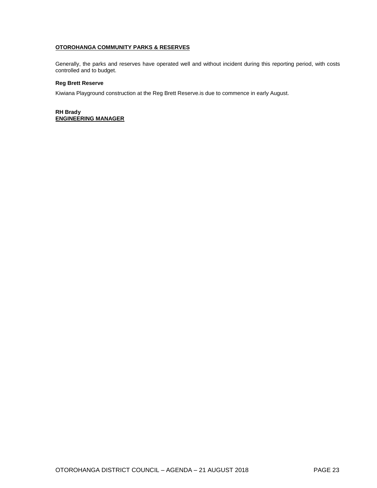#### **OTOROHANGA COMMUNITY PARKS & RESERVES**

Generally, the parks and reserves have operated well and without incident during this reporting period, with costs controlled and to budget.

#### **Reg Brett Reserve**

Kiwiana Playground construction at the Reg Brett Reserve.is due to commence in early August.

**RH Brady ENGINEERING MANAGER**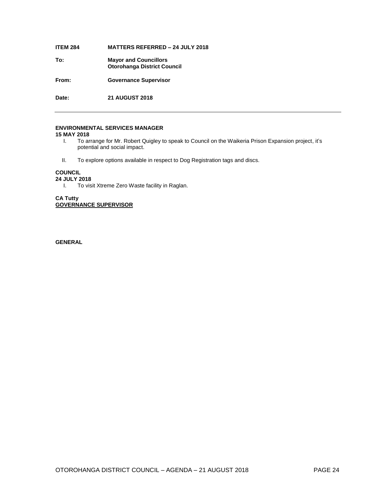#### **ITEM 284 MATTERS REFERRED – 24 JULY 2018**

**To: Mayor and Councillors Otorohanga District Council**

**From: Governance Supervisor**

**Date: 21 AUGUST 2018**

#### **ENVIRONMENTAL SERVICES MANAGER**

#### **15 MAY 2018**

- I. To arrange for Mr. Robert Quigley to speak to Council on the Waikeria Prison Expansion project, it's potential and social impact.
- II. To explore options available in respect to Dog Registration tags and discs.

#### **COUNCIL**

#### **24 JULY 2018**

I. To visit Xtreme Zero Waste facility in Raglan.

**CA Tutty GOVERNANCE SUPERVISOR**

**GENERAL**